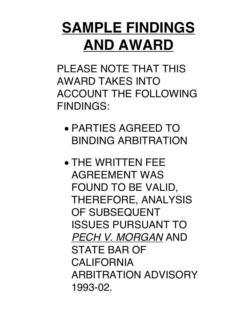# **SAMPLE FINDINGS AND AWARD**

PLEASE NOTE THAT THIS AWARD TAKES INTO ACCOUNT THE FOLLOWING FINDINGS:

- PARTIES AGREED TO BINDING ARBITRATION
- THE WRITTEN FEE AGREEMENT WAS FOUND TO BE VALID, THEREFORE, ANALYSIS OF SUBSEQUENT ISSUES PURSUANT TO *PECH V. MORGAN* AND STATE BAR OF CALIFORNIA ARBITRATION ADVISORY 1993-02.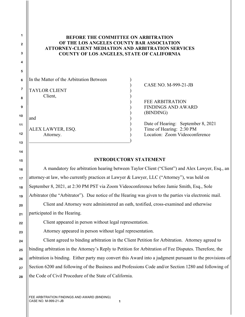## **BEFORE THE COMMITTEE ON ARBITRATION OF THE LOS ANGELES COUNTY BAR ASSOCIATION ATTORNEY-CLIENT MEDIATION AND ARBITRATION SERVICES COUNTY OF LOS ANGELES, STATE OF CALIFORNIA**

| $\frac{1}{2}$   In the Matter of the Arbitration Between |  |
|----------------------------------------------------------|--|
| <sup>7</sup> TAYLOR CLIENT                               |  |

 $\qquad \qquad \qquad \qquad \qquad \qquad$ 

Client.

and ) and (

) CASE NO. M-999-21-JB

) FEE ARBITRATION ) FINDINGS AND AWARD ) (BINDING)

) Date of Hearing: September 8, 2021 ALEX LAWYER, ESQ. (a) Time of Hearing: 2:30 PM Attorney. (a) Constanting Mattorney. (Attorney. (a) Location: Zoom Videoconference

## **INTRODUCTORY STATEMENT**

A mandatory fee arbitration hearing between Taylor Client ("Client") and Alex Lawyer, Esq., an attorney-at law, who currently practices at Lawyer & Lawyer, LLC ("Attorney"), was held on September 8, 2021, at 2:30 PM PST via Zoom Videoconference before Jamie Smith, Esq., Sole Arbitrator (the "Arbitrator"). Due notice of the Hearing was given to the parties via electronic mail. Client and Attorney were administered an oath, testified, cross-examined and otherwise participated in the Hearing. Client appeared in person without legal representation. Attorney appeared in person without legal representation. Client agreed to binding arbitration in the Client Petition for Arbitration. Attorney agreed to binding arbitration in the Attorney's Reply to Petition for Arbitration of Fee Disputes. Therefore, the

**28** arbitration is binding. Either party may convert this Award into a judgment pursuant to the provisions of Section 6200 and following of the Business and Professions Code and/or Section 1280 and following of the Code of Civil Procedure of the State of California.

**1**

**2**

**3**

**4**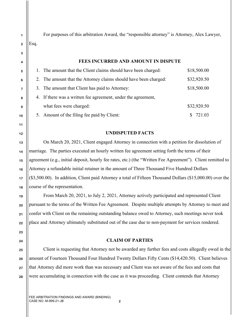For purposes of this arbitration Award, the "responsible attorney" is Attorney, Alex Lawyer, Esq.

### **FEES INCURRED AND AMOUNT IN DISPUTE**

|  | The amount that the Client claims should have been charged:      | \$18,500.00 |  |
|--|------------------------------------------------------------------|-------------|--|
|  | 2. The amount that the Attorney claims should have been charged: | \$32,920.50 |  |
|  | 3. The amount that Client has paid to Attorney:                  | \$18,500.00 |  |
|  | 4. If there was a written fee agreement, under the agreement,    |             |  |
|  | what fees were charged:                                          | \$32,920.50 |  |
|  | 5. Amount of the filing fee paid by Client:                      | 721.03      |  |

### **UNDISPUTED FACTS**

On March 20, 2021, Client engaged Attorney in connection with a petition for dissolution of marriage. The parties executed an hourly written fee agreement setting forth the terms of their agreement (e.g., initial deposit, hourly fee rates, etc.) (the "Written Fee Agreement"). Client remitted to Attorney a refundable initial retainer in the amount of Three Thousand Five Hundred Dollars (\$3,500.00). In addition, Client paid Attorney a total of Fifteen Thousand Dollars (\$15,000.00) over the course of the representation.

From March 20, 2021, to July 2, 2021, Attorney actively participated and represented Client pursuant to the terms of the Written Fee Agreement. Despite multiple attempts by Attorney to meet and confer with Client on the remaining outstanding balance owed to Attorney, such meetings never took place and Attorney ultimately substituted out of the case due to non-payment for services rendered.

#### **CLAIM OF PARTIES**

Client is requesting that Attorney not be awarded any further fees and costs allegedly owed in the amount of Fourteen Thousand Four Hundred Twenty Dollars Fifty Cents (\$14,420.50). Client believes that Attorney did more work than was necessary and Client was not aware of the fees and costs that were accumulating in connection with the case as it was proceeding. Client contends that Attorney

**1**

**4**

**5**

**6**

**7**

**8**

**9**

**10**

**11**

**12**

**13**

**14**

**15**

**16**

**17**

**18**

**19**

**20**

**21**

**22**

**23**

**24**

**25**

**26**

**27**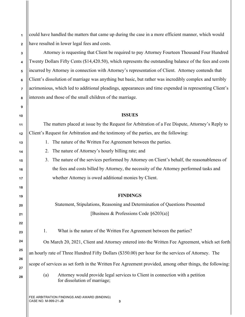**1 2** could have handled the matters that came up during the case in a more efficient manner, which would have resulted in lower legal fees and costs.

Attorney is requesting that Client be required to pay Attorney Fourteen Thousand Four Hundred Twenty Dollars Fifty Cents (\$14,420.50), which represents the outstanding balance of the fees and costs incurred by Attorney in connection with Attorney's representation of Client. Attorney contends that Client's dissolution of marriage was anything but basic, but rather was incredibly complex and terribly acrimonious, which led to additional pleadings, appearances and time expended in representing Client's interests and those of the small children of the marriage.

### **ISSUES**

The matters placed at issue by the Request for Arbitration of a Fee Dispute, Attorney's Reply to Client's Request for Arbitration and the testimony of the parties, are the following:

- 1. The nature of the Written Fee Agreement between the parties.
- 2. The nature of Attorney's hourly billing rate; and
- 3. The nature of the services performed by Attorney on Client's behalf, the reasonableness of the fees and costs billed by Attorney, the necessity of the Attorney performed tasks and whether Attorney is owed additional monies by Client.

## **FINDINGS**

Statement, Stipulations, Reasoning and Determination of Questions Presented [Business & Professions Code §6203(a)]

1. What is the nature of the Written Fee Agreement between the parties?

On March 20, 2021, Client and Attorney entered into the Written Fee Agreement, which set forth

an hourly rate of Three Hundred Fifty Dollars (\$350.00) per hour for the services of Attorney. The

scope of services as set forth in the Written Fee Agreement provided, among other things, the following:

(a) Attorney would provide legal services to Client in connection with a petition for dissolution of marriage;

FEE ARBITRATION FINDINGS AND AWARD (BINDING) CASE NO. M-999-21-JB **3**

**8**

**9**

**10**

**11**

**12**

**13**

**14**

**15**

**16**

**17**

**18**

**19**

**20**

**21**

**22**

**23**

**24**

**25**

**26**

**27**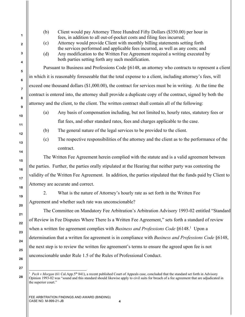| (b) | Client would pay Attorney Three Hundred Fifty Dollars (\$350.00) per hour in<br>fees, in addition to all out-of-pocket costs and filing fees incurred; |
|-----|--------------------------------------------------------------------------------------------------------------------------------------------------------|
| (c) | Attorney would provide Client with monthly billing statements setting forth                                                                            |
|     | the services performed and applicable fees incurred, as well as any costs; and                                                                         |
| (d) | Any modification to the Written Fee Agreement required a writing executed by<br>both parties setting forth any such modification.                      |
|     | Pursuant to Business and Professions Code §6148, an attorney who contracts to represent a client                                                       |
|     | in which it is reasonably foreseeable that the total expense to a client, including attorney's fees, will                                              |
|     | exceed one thousand dollars (\$1,000.00), the contract for services must be in writing. At the time the                                                |
|     | contract is entered into, the attorney shall provide a duplicate copy of the contract, signed by both the                                              |
|     | attorney and the client, to the client. The written contract shall contain all of the following:                                                       |
| (a) | Any basis of compensation including, but not limited to, hourly rates, statutory fees or                                                               |
|     | flat fees, and other standard rates, fees and charges applicable to the case.                                                                          |
| (b) | The general nature of the legal services to be provided to the client.                                                                                 |
| (c) | The respective responsibilities of the attorney and the client as to the performance of the                                                            |
|     | contract.                                                                                                                                              |
|     | The Written Fee Agreement herein complied with the statute and is a valid agreement between                                                            |
|     | the parties. Further, the parties orally stipulated at the Hearing that neither party was contesting the                                               |
|     | validity of the Written Fee Agreement. In addition, the parties stipulated that the funds paid by Client to                                            |
|     | Attorney are accurate and correct.                                                                                                                     |
| 2.  | What is the nature of Attorney's hourly rate as set forth in the Written Fee                                                                           |
|     | Agreement and whether such rate was unconscionable?                                                                                                    |
|     | The Committee on Mandatory Fee Arbitration's Arbitration Advisory 1993-02 entitled "Standard"                                                          |
|     | of Review in Fee Disputes Where There Is a Written Fee Agreement," sets forth a standard of review                                                     |
|     | when a written fee agreement complies with Business and Professions Code §6148. <sup>1</sup> Upon a                                                    |
|     | determination that a written fee agreement is in compliance with Business and Professions Code §6148,                                                  |
|     | the next step is to review the written fee agreement's terms to ensure the agreed upon fee is not                                                      |
|     |                                                                                                                                                        |

Opinion 1993-02 was "sound and this standard should likewise apply to civil suits for breach of a fee agreement that are adjudicated in  $\left\vert \right\vert$  the superior court."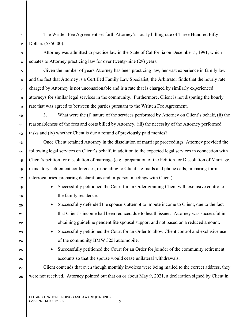The Written Fee Agreement set forth Attorney's hourly billing rate of Three Hundred Fifty Dollars (\$350.00).

Attorney was admitted to practice law in the State of California on December 5, 1991, which equates to Attorney practicing law for over twenty-nine (29) years.

Given the number of years Attorney has been practicing law, her vast experience in family law and the fact that Attorney is a Certified Family Law Specialist, the Arbitrator finds that the hourly rate charged by Attorney is not unconscionable and is a rate that is charged by similarly experienced attorneys for similar legal services in the community. Furthermore, Client is not disputing the hourly rate that was agreed to between the parties pursuant to the Written Fee Agreement.

**10 12** 3. What were the (i) nature of the services performed by Attorney on Client's behalf, (ii) the reasonableness of the fees and costs billed by Attorney, (iii) the necessity of the Attorney performed tasks and (iv) whether Client is due a refund of previously paid monies?

Once Client retained Attorney in the dissolution of marriage proceedings, Attorney provided the following legal services on Client's behalf, in addition to the expected legal services in connection with Client's petition for dissolution of marriage (e.g., preparation of the Petition for Dissolution of Marriage, mandatory settlement conferences, responding to Client's e-mails and phone calls, preparing form interrogatories, preparing declarations and in-person meetings with Client):

- Successfully petitioned the Court for an Order granting Client with exclusive control of the family residence.
- Successfully defended the spouse's attempt to impute income to Client, due to the fact that Client's income had been reduced due to health issues. Attorney was successful in obtaining guideline pendent lite spousal support and not based on a reduced amount.
	- Successfully petitioned the Court for an Order to allow Client control and exclusive use of the community BMW 325i automobile.
	- Successfully petitioned the Court for an Order for joinder of the community retirement accounts so that the spouse would cease unilateral withdrawals.

Client contends that even though monthly invoices were being mailed to the correct address, they were not received. Attorney pointed out that on or about May 9, 2021, a declaration signed by Client in

**4**

**5**

**6**

**7**

**8**

**9**

**11**

**13**

**14**

**15**

**16**

**17**

**18**

**19**

**20**

**21**

**22**

**23**

**24**

**25**

**26**

**27**

**28**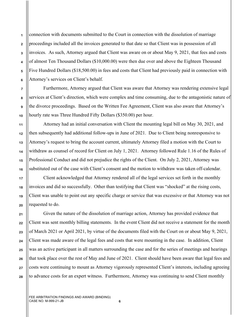**1 2 3** connection with documents submitted to the Court in connection with the dissolution of marriage proceedings included all the invoices generated to that date so that Client was in possession of all invoices. As such, Attorney argued that Client was aware on or about May 9, 2021, that fees and costs of almost Ten Thousand Dollars (\$10,000.00) were then due over and above the Eighteen Thousand Five Hundred Dollars (\$18,500.00) in fees and costs that Client had previously paid in connection with Attorney's services on Client's behalf.

Furthermore, Attorney argued that Client was aware that Attorney was rendering extensive legal services at Client's direction, which were complex and time consuming, due to the antagonistic nature of the divorce proceedings. Based on the Written Fee Agreement, Client was also aware that Attorney's hourly rate was Three Hundred Fifty Dollars (\$350.00) per hour.

Attorney had an initial conversation with Client the mounting legal bill on May 30, 2021, and then subsequently had additional follow-ups in June of 2021. Due to Client being nonresponsive to Attorney's request to bring the account current, ultimately Attorney filed a motion with the Court to withdraw as counsel of record for Client on July 1, 2021. Attorney followed Rule 1.16 of the Rules of Professional Conduct and did not prejudice the rights of the Client. On July 2, 2021, Attorney was substituted out of the case with Client's consent and the motion to withdraw was taken off-calendar.

Client acknowledged that Attorney rendered all of the legal services set forth in the monthly invoices and did so successfully. Other than testifying that Client was "shocked" at the rising costs, Client was unable to point out any specific charge or service that was excessive or that Attorney was not requested to do.

Given the nature of the dissolution of marriage action, Attorney has provided evidence that Client was sent monthly billing statements. In the event Client did not receive a statement for the month of March 2021 or April 2021, by virtue of the documents filed with the Court on or about May 9, 2021, Client was made aware of the legal fees and costs that were mounting in the case. In addition, Client was an active participant in all matters surrounding the case and for the series of meetings and hearings that took place over the rest of May and June of 2021. Client should have been aware that legal fees and costs were continuing to mount as Attorney vigorously represented Client's interests, including agreeing to advance costs for an expert witness. Furthermore, Attorney was continuing to send Client monthly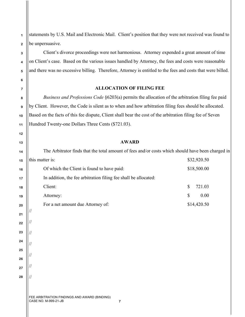statements by U.S. Mail and Electronic Mail. Client's position that they were not received was found to be unpersuasive.

**1**

**2**

**3**

**4**

**5**

**6**

**7**

**8**

**9**

**10**

**11**

**12**

**13**

Client's divorce proceedings were not harmonious. Attorney expended a great amount of time on Client's case. Based on the various issues handled by Attorney, the fees and costs were reasonable and there was no excessive billing. Therefore, Attorney is entitled to the fees and costs that were billed.

#### **ALLOCATION OF FILING FEE**

*Business and Professions Code* §6203(a) permits the allocation of the arbitration filing fee paid by Client. However, the Code is silent as to when and how arbitration filing fees should be allocated. Based on the facts of this fee dispute, Client shall bear the cost of the arbitration filing fee of Seven Hundred Twenty-one Dollars Three Cents (\$721.03).

#### **AWARD**

| 14 | The Arbitrator finds that the total amount of fees and/or costs which should have been charged in |                      |  |  |  |
|----|---------------------------------------------------------------------------------------------------|----------------------|--|--|--|
| 15 | \$32,920.50<br>this matter is:                                                                    |                      |  |  |  |
| 16 | Of which the Client is found to have paid:                                                        | \$18,500.00          |  |  |  |
| 17 | In addition, the fee arbitration filing fee shall be allocated:                                   |                      |  |  |  |
| 18 | Client:                                                                                           | \$<br>721.03         |  |  |  |
| 19 | Attorney:                                                                                         | $\mathbb{S}$<br>0.00 |  |  |  |
| 20 | For a net amount due Attorney of:                                                                 | \$14,420.50          |  |  |  |
| 21 |                                                                                                   |                      |  |  |  |
| 22 |                                                                                                   |                      |  |  |  |
| 23 |                                                                                                   |                      |  |  |  |
| 24 |                                                                                                   |                      |  |  |  |
| 25 |                                                                                                   |                      |  |  |  |
| 26 |                                                                                                   |                      |  |  |  |
| 27 |                                                                                                   |                      |  |  |  |
| 28 |                                                                                                   |                      |  |  |  |
|    |                                                                                                   |                      |  |  |  |
|    | FEE ARBITRATION FINDINGS AND AWARD (BINDING)<br>CASE NO. M-999-21-JB<br>7                         |                      |  |  |  |